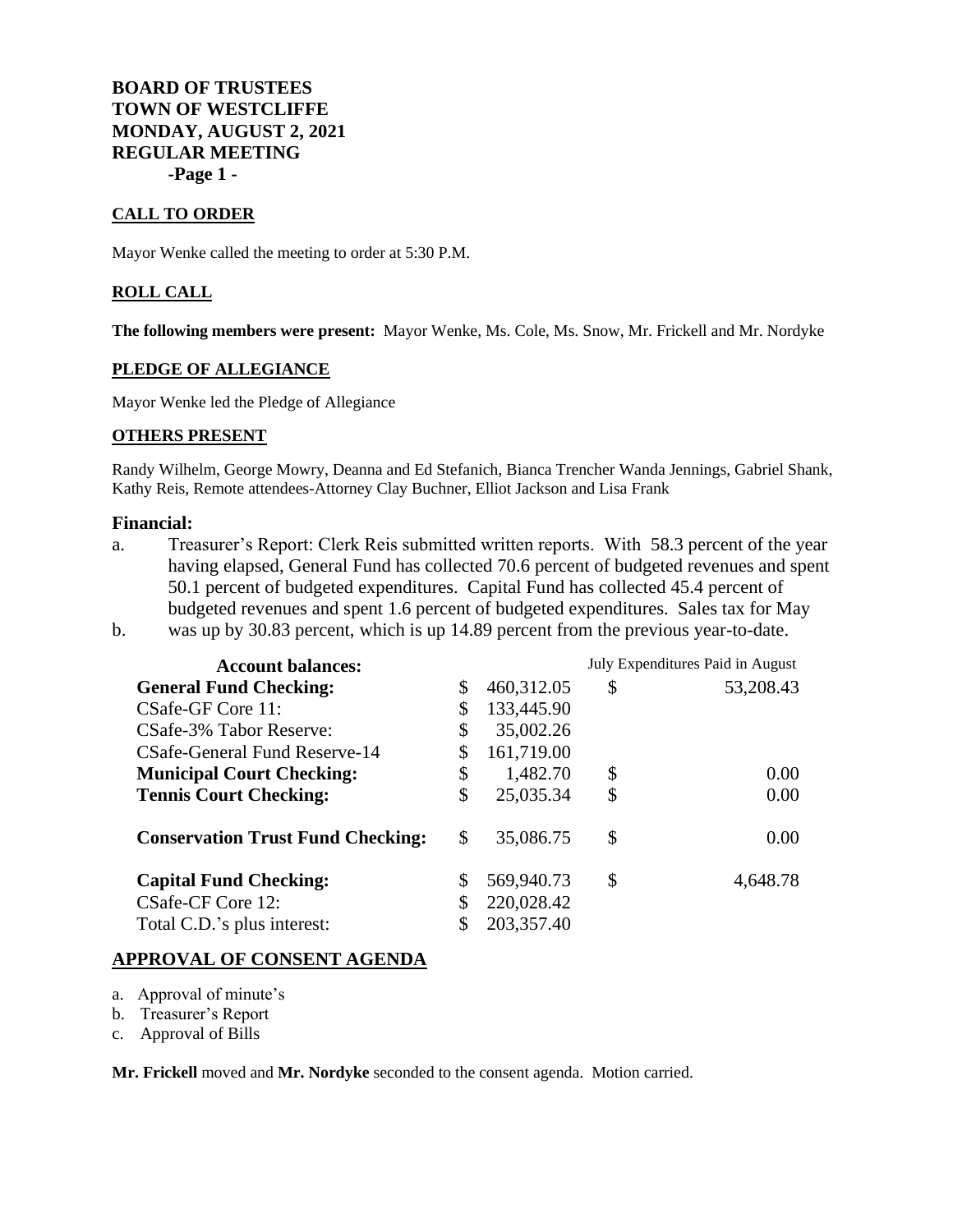**BOARD OF TRUSTEES TOWN OF WESTCLIFFE MONDAY, AUGUST 2, 2021 REGULAR MEETING -Page 1 -**

### **CALL TO ORDER**

Mayor Wenke called the meeting to order at 5:30 P.M.

#### **ROLL CALL**

**The following members were present:** Mayor Wenke, Ms. Cole, Ms. Snow, Mr. Frickell and Mr. Nordyke

#### **PLEDGE OF ALLEGIANCE**

Mayor Wenke led the Pledge of Allegiance

### **OTHERS PRESENT**

Randy Wilhelm, George Mowry, Deanna and Ed Stefanich, Bianca Trencher Wanda Jennings, Gabriel Shank, Kathy Reis, Remote attendees-Attorney Clay Buchner, Elliot Jackson and Lisa Frank

#### **Financial:**

- a. Treasurer's Report: Clerk Reis submitted written reports. With 58.3 percent of the year having elapsed, General Fund has collected 70.6 percent of budgeted revenues and spent 50.1 percent of budgeted expenditures. Capital Fund has collected 45.4 percent of budgeted revenues and spent 1.6 percent of budgeted expenditures. Sales tax for May
- b. was up by 30.83 percent, which is up 14.89 percent from the previous year-to-date.

| <b>Account balances:</b>                                                          |          |                                        | July Expenditures Paid in August |           |
|-----------------------------------------------------------------------------------|----------|----------------------------------------|----------------------------------|-----------|
| <b>General Fund Checking:</b>                                                     | S        | 460,312.05                             | \$                               | 53,208.43 |
| CSafe-GF Core 11:                                                                 | \$       | 133,445.90                             |                                  |           |
| CSafe-3% Tabor Reserve:                                                           | \$       | 35,002.26                              |                                  |           |
| CSafe-General Fund Reserve-14                                                     |          | 161,719.00                             |                                  |           |
| <b>Municipal Court Checking:</b>                                                  | \$       | 1,482.70                               | \$                               | 0.00      |
| <b>Tennis Court Checking:</b>                                                     | \$       | 25,035.34                              | \$                               | 0.00      |
| <b>Conservation Trust Fund Checking:</b>                                          | \$       | 35,086.75                              | \$                               | 0.00      |
| <b>Capital Fund Checking:</b><br>CSafe-CF Core 12:<br>Total C.D.'s plus interest: | \$<br>\$ | 569,940.73<br>220,028.42<br>203,357.40 | \$                               | 4,648.78  |

### **APPROVAL OF CONSENT AGENDA**

- a. Approval of minute's
- b. Treasurer's Report
- c. Approval of Bills

**Mr. Frickell** moved and **Mr. Nordyke** seconded to the consent agenda. Motion carried.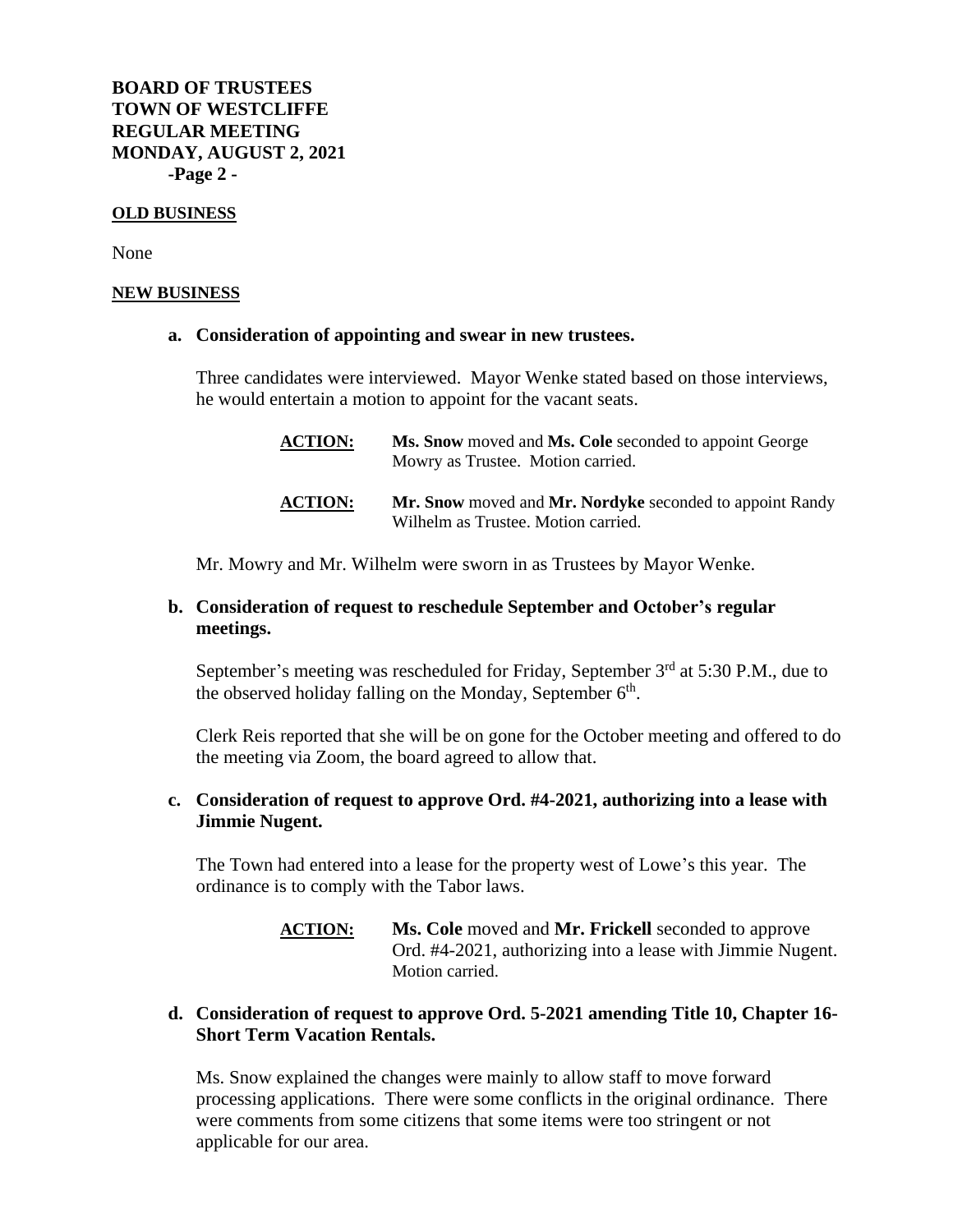**BOARD OF TRUSTEES TOWN OF WESTCLIFFE REGULAR MEETING MONDAY, AUGUST 2, 2021 -Page 2 -**

#### **OLD BUSINESS**

None

#### **NEW BUSINESS**

### **a. Consideration of appointing and swear in new trustees.**

Three candidates were interviewed. Mayor Wenke stated based on those interviews, he would entertain a motion to appoint for the vacant seats.

| <b>ACTION:</b> | Ms. Snow moved and Ms. Cole seconded to appoint George<br>Mowry as Trustee. Motion carried.     |
|----------------|-------------------------------------------------------------------------------------------------|
| <b>ACTION:</b> | Mr. Snow moved and Mr. Nordyke seconded to appoint Randy<br>Wilhelm as Trustee. Motion carried. |

Mr. Mowry and Mr. Wilhelm were sworn in as Trustees by Mayor Wenke.

## **b. Consideration of request to reschedule September and October's regular meetings.**

September's meeting was rescheduled for Friday, September  $3<sup>rd</sup>$  at 5:30 P.M., due to the observed holiday falling on the Monday, September 6<sup>th</sup>.

Clerk Reis reported that she will be on gone for the October meeting and offered to do the meeting via Zoom, the board agreed to allow that.

## **c. Consideration of request to approve Ord. #4-2021, authorizing into a lease with Jimmie Nugent.**

The Town had entered into a lease for the property west of Lowe's this year. The ordinance is to comply with the Tabor laws.

## **ACTION: Ms. Cole** moved and **Mr. Frickell** seconded to approve Ord. #4-2021, authorizing into a lease with Jimmie Nugent. Motion carried.

## **d. Consideration of request to approve Ord. 5-2021 amending Title 10, Chapter 16- Short Term Vacation Rentals.**

Ms. Snow explained the changes were mainly to allow staff to move forward processing applications. There were some conflicts in the original ordinance. There were comments from some citizens that some items were too stringent or not applicable for our area.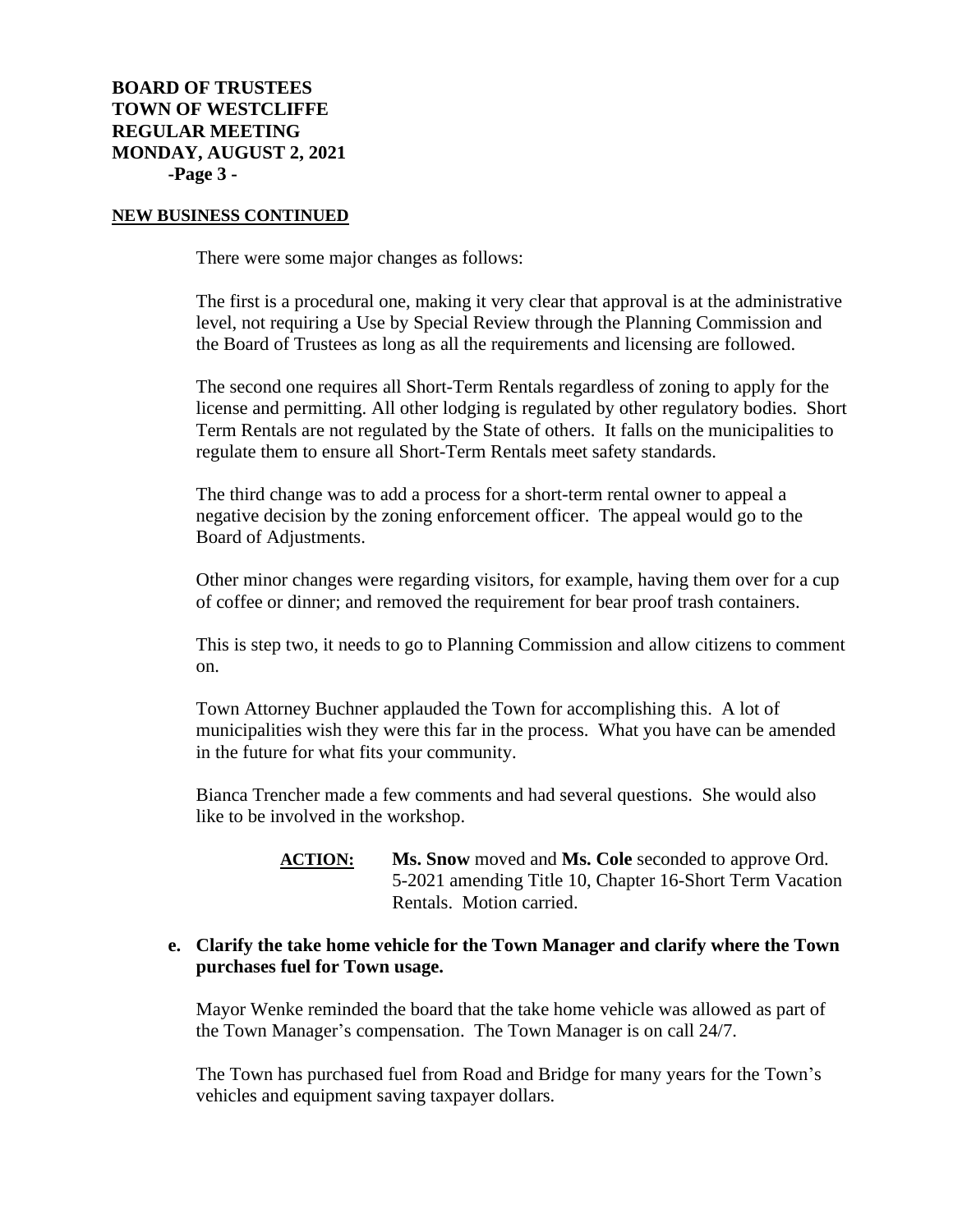**BOARD OF TRUSTEES TOWN OF WESTCLIFFE REGULAR MEETING MONDAY, AUGUST 2, 2021 -Page 3 -**

#### **NEW BUSINESS CONTINUED**

There were some major changes as follows:

The first is a procedural one, making it very clear that approval is at the administrative level, not requiring a Use by Special Review through the Planning Commission and the Board of Trustees as long as all the requirements and licensing are followed.

The second one requires all Short-Term Rentals regardless of zoning to apply for the license and permitting. All other lodging is regulated by other regulatory bodies. Short Term Rentals are not regulated by the State of others. It falls on the municipalities to regulate them to ensure all Short-Term Rentals meet safety standards.

The third change was to add a process for a short-term rental owner to appeal a negative decision by the zoning enforcement officer. The appeal would go to the Board of Adjustments.

Other minor changes were regarding visitors, for example, having them over for a cup of coffee or dinner; and removed the requirement for bear proof trash containers.

This is step two, it needs to go to Planning Commission and allow citizens to comment on.

Town Attorney Buchner applauded the Town for accomplishing this. A lot of municipalities wish they were this far in the process. What you have can be amended in the future for what fits your community.

Bianca Trencher made a few comments and had several questions. She would also like to be involved in the workshop.

> **ACTION: Ms. Snow** moved and **Ms. Cole** seconded to approve Ord. 5-2021 amending Title 10, Chapter 16-Short Term Vacation Rentals. Motion carried.

## **e. Clarify the take home vehicle for the Town Manager and clarify where the Town purchases fuel for Town usage.**

Mayor Wenke reminded the board that the take home vehicle was allowed as part of the Town Manager's compensation. The Town Manager is on call 24/7.

The Town has purchased fuel from Road and Bridge for many years for the Town's vehicles and equipment saving taxpayer dollars.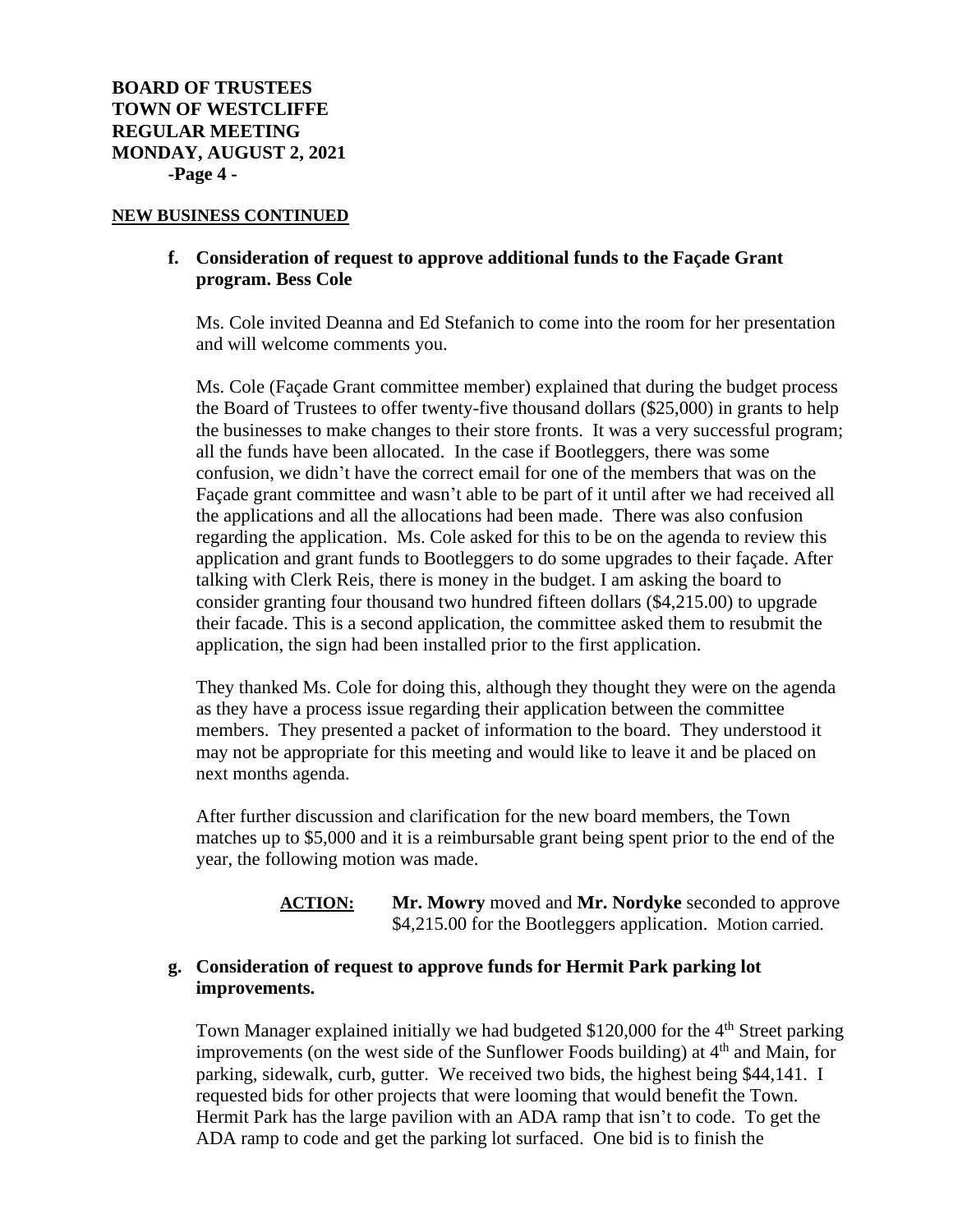#### **NEW BUSINESS CONTINUED**

## **f. Consideration of request to approve additional funds to the Façade Grant program. Bess Cole**

Ms. Cole invited Deanna and Ed Stefanich to come into the room for her presentation and will welcome comments you.

Ms. Cole (Façade Grant committee member) explained that during the budget process the Board of Trustees to offer twenty-five thousand dollars (\$25,000) in grants to help the businesses to make changes to their store fronts. It was a very successful program; all the funds have been allocated. In the case if Bootleggers, there was some confusion, we didn't have the correct email for one of the members that was on the Façade grant committee and wasn't able to be part of it until after we had received all the applications and all the allocations had been made. There was also confusion regarding the application. Ms. Cole asked for this to be on the agenda to review this application and grant funds to Bootleggers to do some upgrades to their façade. After talking with Clerk Reis, there is money in the budget. I am asking the board to consider granting four thousand two hundred fifteen dollars (\$4,215.00) to upgrade their facade. This is a second application, the committee asked them to resubmit the application, the sign had been installed prior to the first application.

They thanked Ms. Cole for doing this, although they thought they were on the agenda as they have a process issue regarding their application between the committee members. They presented a packet of information to the board. They understood it may not be appropriate for this meeting and would like to leave it and be placed on next months agenda.

After further discussion and clarification for the new board members, the Town matches up to \$5,000 and it is a reimbursable grant being spent prior to the end of the year, the following motion was made.

## **ACTION: Mr. Mowry** moved and **Mr. Nordyke** seconded to approve \$4,215.00 for the Bootleggers application. Motion carried.

## **g. Consideration of request to approve funds for Hermit Park parking lot improvements.**

Town Manager explained initially we had budgeted \$120,000 for the 4<sup>th</sup> Street parking improvements (on the west side of the Sunflower Foods building) at 4th and Main, for parking, sidewalk, curb, gutter. We received two bids, the highest being \$44,141. I requested bids for other projects that were looming that would benefit the Town. Hermit Park has the large pavilion with an ADA ramp that isn't to code. To get the ADA ramp to code and get the parking lot surfaced. One bid is to finish the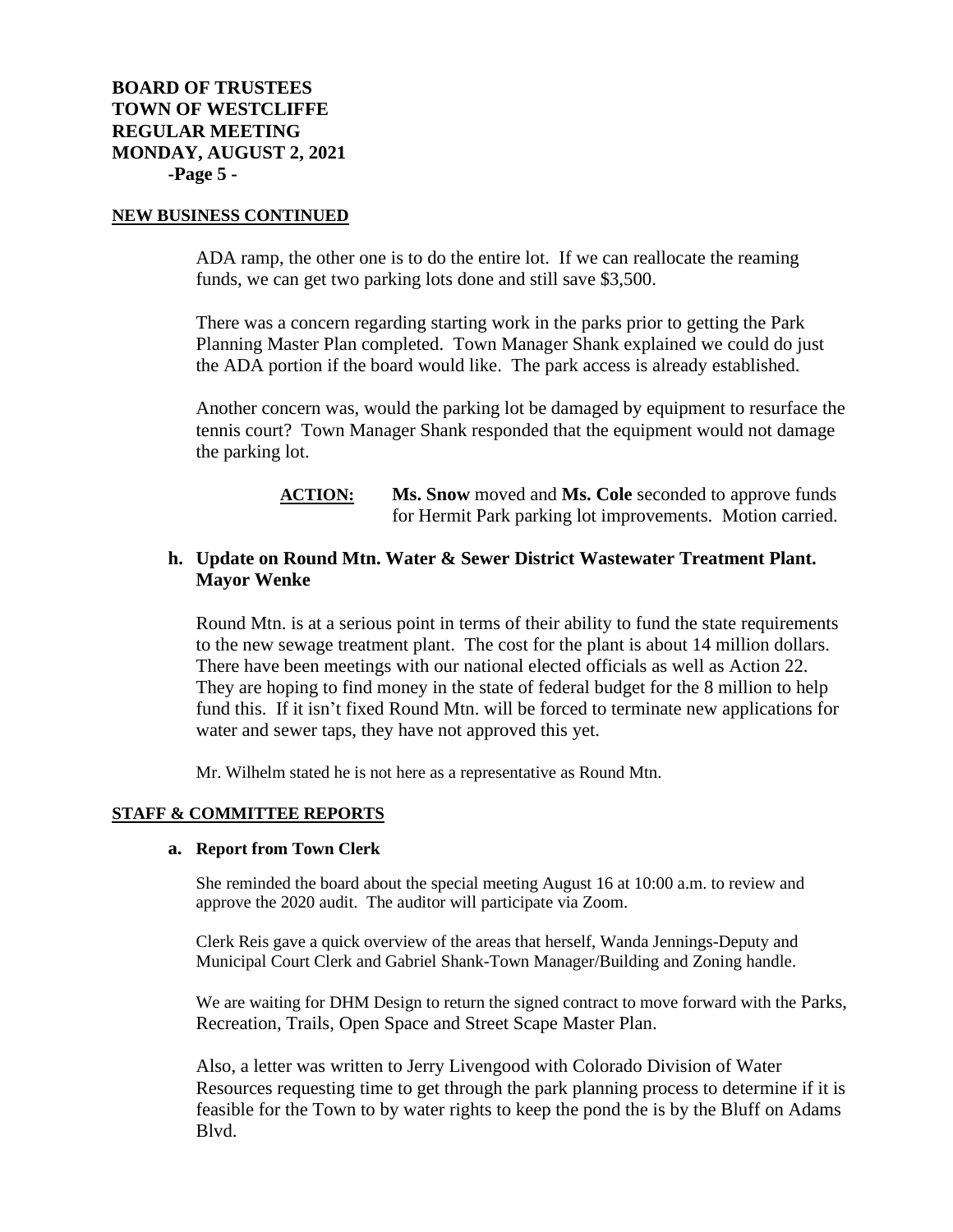#### **NEW BUSINESS CONTINUED**

ADA ramp, the other one is to do the entire lot. If we can reallocate the reaming funds, we can get two parking lots done and still save \$3,500.

There was a concern regarding starting work in the parks prior to getting the Park Planning Master Plan completed. Town Manager Shank explained we could do just the ADA portion if the board would like. The park access is already established.

Another concern was, would the parking lot be damaged by equipment to resurface the tennis court? Town Manager Shank responded that the equipment would not damage the parking lot.

> **ACTION: Ms. Snow** moved and **Ms. Cole** seconded to approve funds for Hermit Park parking lot improvements. Motion carried.

## **h. Update on Round Mtn. Water & Sewer District Wastewater Treatment Plant. Mayor Wenke**

Round Mtn. is at a serious point in terms of their ability to fund the state requirements to the new sewage treatment plant. The cost for the plant is about 14 million dollars. There have been meetings with our national elected officials as well as Action 22. They are hoping to find money in the state of federal budget for the 8 million to help fund this. If it isn't fixed Round Mtn. will be forced to terminate new applications for water and sewer taps, they have not approved this yet.

Mr. Wilhelm stated he is not here as a representative as Round Mtn.

#### **STAFF & COMMITTEE REPORTS**

#### **a. Report from Town Clerk**

She reminded the board about the special meeting August 16 at 10:00 a.m. to review and approve the 2020 audit. The auditor will participate via Zoom.

Clerk Reis gave a quick overview of the areas that herself, Wanda Jennings-Deputy and Municipal Court Clerk and Gabriel Shank-Town Manager/Building and Zoning handle.

We are waiting for DHM Design to return the signed contract to move forward with the Parks, Recreation, Trails, Open Space and Street Scape Master Plan.

Also, a letter was written to Jerry Livengood with Colorado Division of Water Resources requesting time to get through the park planning process to determine if it is feasible for the Town to by water rights to keep the pond the is by the Bluff on Adams Blvd.